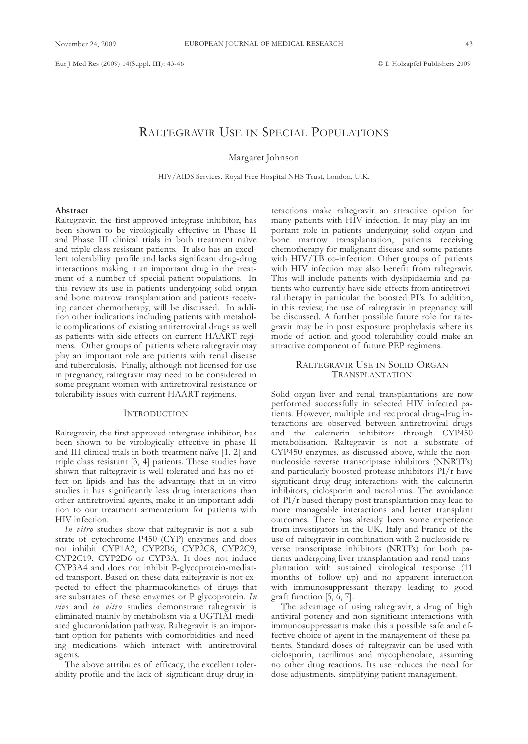# RALTEGRAVIR USE IN SPECIAL POPULATIONS

Margaret Johnson

HIV/AIDS Services, Royal Free Hospital NHS Trust, London, U.K.

### **Abstract**

Raltegravir, the first approved integrase inhibitor, has been shown to be virologically effective in Phase II and Phase III clinical trials in both treatment naïve and triple class resistant patients. It also has an excellent tolerability profile and lacks significant drug-drug interactions making it an important drug in the treatment of a number of special patient populations. In this review its use in patients undergoing solid organ and bone marrow transplantation and patients receiving cancer chemotherapy, will be discussed. In addition other indications including patients with metabolic complications of existing antiretroviral drugs as well as patients with side effects on current HAART regimens. Other groups of patients where raltegravir may play an important role are patients with renal disease and tuberculosis. Finally, although not licensed for use in pregnancy, raltegravir may need to be considered in some pregnant women with antiretroviral resistance or tolerability issues with current HAART regimens.

# **INTRODUCTION**

Raltegravir, the first approved intergrase inhibitor, has been shown to be virologically effective in phase II and III clinical trials in both treatment naïve [1, 2] and triple class resistant [3, 4] patients. These studies have shown that raltegravir is well tolerated and has no effect on lipids and has the advantage that in in-vitro studies it has significantly less drug interactions than other antiretroviral agents, make it an important addition to our treatment armenterium for patients with HIV infection.

*In vitro* studies show that raltegravir is not a substrate of cytochrome P450 (CYP) enzymes and does not inhibit CYP1A2, CYP2B6, CYP2C8, CYP2C9, CYP2C19, CYP2D6 or CYP3A. It does not induce CYP3A4 and does not inhibit P-glycoprotein-mediated transport. Based on these data raltegravir is not expected to effect the pharmacokinetics of drugs that are substrates of these enzymes or P glycoprotein. *In vivo* and *in vitro* studies demonstrate raltegravir is eliminated mainly by metabolism via a UGTIAI-mediated glucuronidation pathway. Raltegravir is an important option for patients with comorbidities and needing medications which interact with antiretroviral agents.

The above attributes of efficacy, the excellent tolerability profile and the lack of significant drug-drug interactions make raltegravir an attractive option for many patients with HIV infection. It may play an important role in patients undergoing solid organ and bone marrow transplantation, patients receiving chemotherapy for malignant disease and some patients with HIV/TB co-infection. Other groups of patients with HIV infection may also benefit from raltegravir. This will include patients with dyslipidaemia and patients who currently have side-effects from antiretroviral therapy in particular the boosted PI's. In addition, in this review, the use of raltegravir in pregnancy will be discussed. A further possible future role for raltegravir may be in post exposure prophylaxis where its mode of action and good tolerability could make an attractive component of future PEP regimens.

# RALTEGRAVIR USE IN SOLID ORGAN TRANSPLANTATION

Solid organ liver and renal transplantations are now performed successfully in selected HIV infected patients. However, multiple and reciprocal drug-drug interactions are observed between antiretroviral drugs and the calcinerin inhibitors through CYP450 metabolisation. Raltegravir is not a substrate of CYP450 enzymes, as discussed above, while the nonnucleoside reverse transcriptase inhibitors (NNRTI's) and particularly boosted protease inhibitors PI/r have significant drug drug interactions with the calcinerin inhibitors, ciclosporin and tacrolimus. The avoidance of PI/r based therapy post transplantation may lead to more manageable interactions and better transplant outcomes. There has already been some experience from investigators in the UK, Italy and France of the use of raltegravir in combination with 2 nucleoside reverse transcriptase inhibitors (NRTI's) for both patients undergoing liver transplantation and renal transplantation with sustained virological response (11 months of follow up) and no apparent interaction with immunosuppressant therapy leading to good graft function  $[5, 6, 7]$ .

The advantage of using raltegravir, a drug of high antiviral potency and non-significant interactions with immunosuppressants make this a possible safe and effective choice of agent in the management of these patients. Standard doses of raltegravir can be used with ciclosporin, tacrilimus and mycophenolate, assuming no other drug reactions. Its use reduces the need for dose adjustments, simplifying patient management.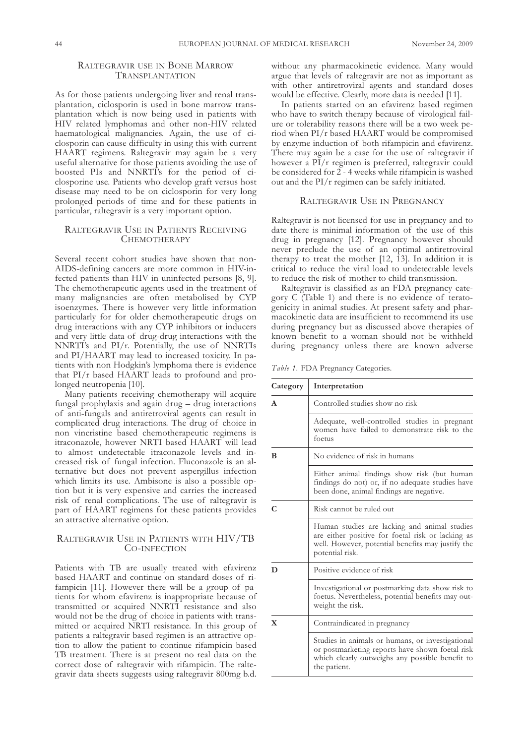## RALTEGRAVIR USE IN BONE MARROW TRANSPLANTATION

As for those patients undergoing liver and renal transplantation, ciclosporin is used in bone marrow transplantation which is now being used in patients with HIV related lymphomas and other non-HIV related haematological malignancies. Again, the use of ciclosporin can cause difficulty in using this with current HAART regimens. Raltegravir may again be a very useful alternative for those patients avoiding the use of boosted PIs and NNRTI's for the period of ciclosporine use. Patients who develop graft versus host disease may need to be on ciclosporin for very long prolonged periods of time and for these patients in particular, raltegravir is a very important option.

# RALTEGRAVIR USE IN PATIENTS RECEIVING **CHEMOTHERAPY**

Several recent cohort studies have shown that non-AIDS-defining cancers are more common in HIV-infected patients than HIV in uninfected persons [8, 9]. The chemotherapeutic agents used in the treatment of many malignancies are often metabolised by CYP isoenzymes. There is however very little information particularly for for older chemotherapeutic drugs on drug interactions with any CYP inhibitors or inducers and very little data of drug-drug interactions with the NNRTI's and PI/r. Potentially, the use of NNRTIs and PI/HAART may lead to increased toxicity. In patients with non Hodgkin's lymphoma there is evidence that PI/r based HAART leads to profound and prolonged neutropenia [10].

Many patients receiving chemotherapy will acquire fungal prophylaxis and again drug – drug interactions of anti-fungals and antiretroviral agents can result in complicated drug interactions. The drug of choice in non vincristine based chemotherapeutic regimens is itraconazole, however NRTI based HAART will lead to almost undetectable itraconazole levels and increased risk of fungal infection. Fluconazole is an alternative but does not prevent aspergillus infection which limits its use. Ambisone is also a possible option but it is very expensive and carries the increased risk of renal complications. The use of raltegravir is part of HAART regimens for these patients provides an attractive alternative option.

# RALTEGRAVIR USE IN PATIENTS WITH HIV/TB CO-INFECTION

Patients with TB are usually treated with efavirenz based HAART and continue on standard doses of rifampicin [11]. However there will be a group of patients for whom efavirenz is inappropriate because of transmitted or acquired NNRTI resistance and also would not be the drug of choice in patients with transmitted or acquired NRTI resistance. In this group of patients a raltegravir based regimen is an attractive option to allow the patient to continue rifampicin based TB treatment. There is at present no real data on the correct dose of raltegravir with rifampicin. The raltegravir data sheets suggests using raltegravir 800mg b.d.

without any pharmacokinetic evidence. Many would argue that levels of raltegravir are not as important as with other antiretroviral agents and standard doses would be effective. Clearly, more data is needed [11].

In patients started on an efavirenz based regimen who have to switch therapy because of virological failure or tolerability reasons there will be a two week period when PI/r based HAART would be compromised by enzyme induction of both rifampicin and efavirenz. There may again be a case for the use of raltegravir if however a PI/r regimen is preferred, raltegravir could be considered for  $2 - 4$  weeks while rifampicin is washed out and the PI/r regimen can be safely initiated.

# RALTEGRAVIR USE IN PREGNANCY

Raltegravir is not licensed for use in pregnancy and to date there is minimal information of the use of this drug in pregnancy [12]. Pregnancy however should never preclude the use of an optimal antiretroviral therapy to treat the mother [12, 13]. In addition it is critical to reduce the viral load to undetectable levels to reduce the risk of mother to child transmission.

Raltegravir is classified as an FDA pregnancy category C (Table 1) and there is no evidence of teratogenicity in animal studies. At present safety and pharmacokinetic data are insufficient to recommend its use during pregnancy but as discussed above therapies of known benefit to a woman should not be withheld during pregnancy unless there are known adverse

*Table 1.* FDA Pregnancy Categories.

| Category | Interpretation                                                                                                                                                            |
|----------|---------------------------------------------------------------------------------------------------------------------------------------------------------------------------|
| A        | Controlled studies show no risk                                                                                                                                           |
|          | Adequate, well-controlled studies in pregnant<br>women have failed to demonstrate risk to the<br>foetus                                                                   |
| B        | No evidence of risk in humans                                                                                                                                             |
|          | Either animal findings show risk (but human<br>findings do not) or, if no adequate studies have<br>been done, animal findings are negative.                               |
| C        | Risk cannot be ruled out                                                                                                                                                  |
|          | Human studies are lacking and animal studies<br>are either positive for foetal risk or lacking as<br>well. However, potential benefits may justify the<br>potential risk. |
| D        | Positive evidence of risk                                                                                                                                                 |
|          | Investigational or postmarking data show risk to<br>foetus. Nevertheless, potential benefits may out-<br>weight the risk.                                                 |
| X        | Contraindicated in pregnancy                                                                                                                                              |
|          | Studies in animals or humans, or investigational<br>or postmarketing reports have shown foetal risk<br>which clearly outweighs any possible benefit to<br>the patient.    |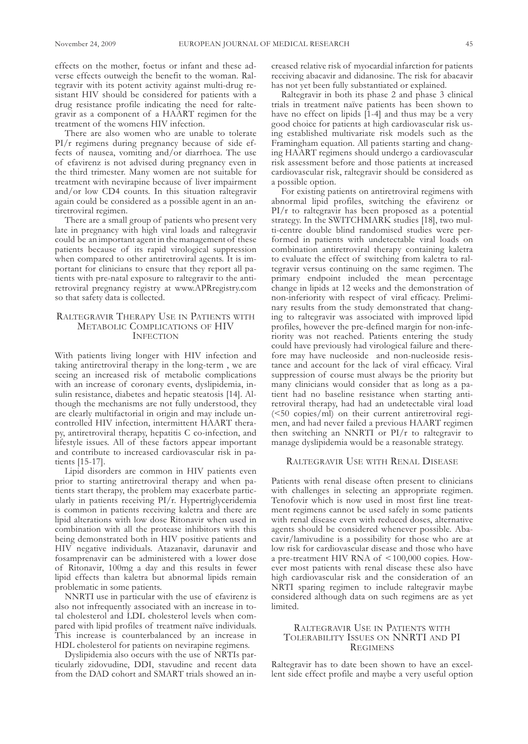effects on the mother, foetus or infant and these adverse effects outweigh the benefit to the woman. Raltegravir with its potent activity against multi-drug resistant HIV should be considered for patients with a drug resistance profile indicating the need for raltegravir as a component of a HAART regimen for the treatment of the womens HIV infection.

There are also women who are unable to tolerate PI/r regimens during pregnancy because of side effects of nausea, vomiting and/or diarrhoea. The use of efavirenz is not advised during pregnancy even in the third trimester. Many women are not suitable for treatment with nevirapine because of liver impairment and/or low CD4 counts. In this situation raltegravir again could be considered as a possible agent in an antiretroviral regimen.

There are a small group of patients who present very late in pregnancy with high viral loads and raltegravir could be an important agent in the management of these patients because of its rapid virological suppression when compared to other antiretroviral agents. It is important for clinicians to ensure that they report all patients with pre-natal exposure to raltegravir to the antiretroviral pregnancy registry at www.APRregistry.com so that safety data is collected.

# RALTEGRAVIR THERAPY USE IN PATIENTS WITH METABOLIC COMPLICATIONS OF HIV **INFECTION**

With patients living longer with HIV infection and taking antiretroviral therapy in the long-term , we are seeing an increased risk of metabolic complications with an increase of coronary events, dyslipidemia, insulin resistance, diabetes and hepatic steatosis [14]. Although the mechanisms are not fully understood, they are clearly multifactorial in origin and may include uncontrolled HIV infection, intermittent HAART therapy, antiretroviral therapy, hepatitis C co-infection, and lifestyle issues. All of these factors appear important and contribute to increased cardiovascular risk in patients [15-17].

Lipid disorders are common in HIV patients even prior to starting antiretroviral therapy and when patients start therapy, the problem may exacerbate particularly in patients receiving PI/r. Hypertriglyceridemia is common in patients receiving kaletra and there are lipid alterations with low dose Ritonavir when used in combination with all the protease inhibitors with this being demonstrated both in HIV positive patients and HIV negative individuals. Atazanavir, darunavir and fosamprenavir can be administered with a lower dose of Ritonavir, 100mg a day and this results in fewer lipid effects than kaletra but abnormal lipids remain problematic in some patients.

NNRTI use in particular with the use of efavirenz is also not infrequently associated with an increase in total cholesterol and LDL cholesterol levels when compared with lipid profiles of treatment naïve individuals. This increase is counterbalanced by an increase in HDL cholesterol for patients on nevirapine regimens.

Dyslipidemia also occurs with the use of NRTIs particularly zidovudine, DDI, stavudine and recent data from the DAD cohort and SMART trials showed an increased relative risk of myocardial infarction for patients receiving abacavir and didanosine. The risk for abacavir has not yet been fully substantiated or explained.

Raltegravir in both its phase 2 and phase 3 clinical trials in treatment naïve patients has been shown to have no effect on lipids [1-4] and thus may be a very good choice for patients at high cardiovascular risk using established multivariate risk models such as the Framingham equation. All patients starting and changing HAART regimens should undergo a cardiovascular risk assessment before and those patients at increased cardiovascular risk, raltegravir should be considered as a possible option.

For existing patients on antiretroviral regimens with abnormal lipid profiles, switching the efavirenz or PI/r to raltegravir has been proposed as a potential strategy. In the SWITCHMARK studies [18], two multi-centre double blind randomised studies were performed in patients with undetectable viral loads on combination antiretroviral therapy containing kaletra to evaluate the effect of switching from kaletra to raltegravir versus continuing on the same regimen. The primary endpoint included the mean percentage change in lipids at 12 weeks and the demonstration of non-inferiority with respect of viral efficacy. Preliminary results from the study demonstrated that changing to raltegravir was associated with improved lipid profiles, however the pre-defined margin for non-inferiority was not reached. Patients entering the study could have previously had virological failure and therefore may have nucleoside and non-nucleoside resistance and account for the lack of viral efficacy. Viral suppression of course must always be the priority but many clinicians would consider that as long as a patient had no baseline resistance when starting antiretroviral therapy, had had an undetectable viral load (<50 copies/ml) on their current antiretroviral regimen, and had never failed a previous HAART regimen then switching an NNRTI or PI/r to raltegravir to manage dyslipidemia would be a reasonable strategy.

### RALTEGRAVIR USE WITH RENAL DISEASE

Patients with renal disease often present to clinicians with challenges in selecting an appropriate regimen. Tenofovir which is now used in most first line treatment regimens cannot be used safely in some patients with renal disease even with reduced doses, alternative agents should be considered whenever possible. Abacavir/lamivudine is a possibility for those who are at low risk for cardiovascular disease and those who have a pre-treatment HIV RNA of <100,000 copies. However most patients with renal disease these also have high cardiovascular risk and the consideration of an NRTI sparing regimen to include raltegravir maybe considered although data on such regimens are as yet limited.

# RALTEGRAVIR USE IN PATIENTS WITH TOLERABILITY ISSUES ON NNRTI AND PI **REGIMENS**

Raltegravir has to date been shown to have an excellent side effect profile and maybe a very useful option